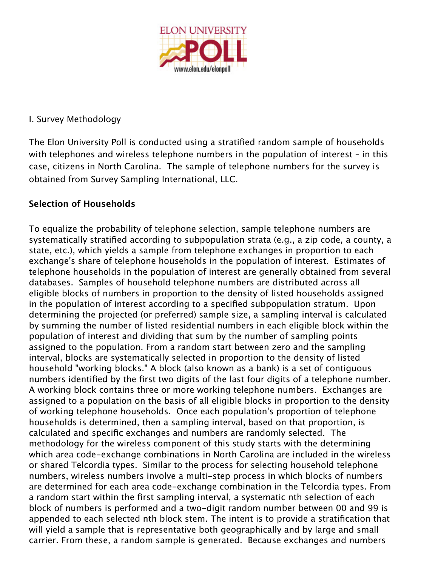

## I. Survey Methodology

The Elon University Poll is conducted using a stratified random sample of households with telephones and wireless telephone numbers in the population of interest – in this case, citizens in North Carolina. The sample of telephone numbers for the survey is obtained from Survey Sampling International, LLC.

## **Selection of Households**

To equalize the probability of telephone selection, sample telephone numbers are systematically stratified according to subpopulation strata (e.g., a zip code, a county, a state, etc.), which yields a sample from telephone exchanges in proportion to each exchange's share of telephone households in the population of interest. Estimates of telephone households in the population of interest are generally obtained from several databases. Samples of household telephone numbers are distributed across all eligible blocks of numbers in proportion to the density of listed households assigned in the population of interest according to a specified subpopulation stratum. Upon determining the projected (or preferred) sample size, a sampling interval is calculated by summing the number of listed residential numbers in each eligible block within the population of interest and dividing that sum by the number of sampling points assigned to the population. From a random start between zero and the sampling interval, blocks are systematically selected in proportion to the density of listed household "working blocks." A block (also known as a bank) is a set of contiguous numbers identified by the first two digits of the last four digits of a telephone number. A working block contains three or more working telephone numbers. Exchanges are assigned to a population on the basis of all eligible blocks in proportion to the density of working telephone households. Once each population's proportion of telephone households is determined, then a sampling interval, based on that proportion, is calculated and specific exchanges and numbers are randomly selected. The methodology for the wireless component of this study starts with the determining which area code-exchange combinations in North Carolina are included in the wireless or shared Telcordia types. Similar to the process for selecting household telephone numbers, wireless numbers involve a multi-step process in which blocks of numbers are determined for each area code-exchange combination in the Telcordia types. From a random start within the first sampling interval, a systematic nth selection of each block of numbers is performed and a two-digit random number between 00 and 99 is appended to each selected nth block stem. The intent is to provide a stratification that will yield a sample that is representative both geographically and by large and small carrier. From these, a random sample is generated. Because exchanges and numbers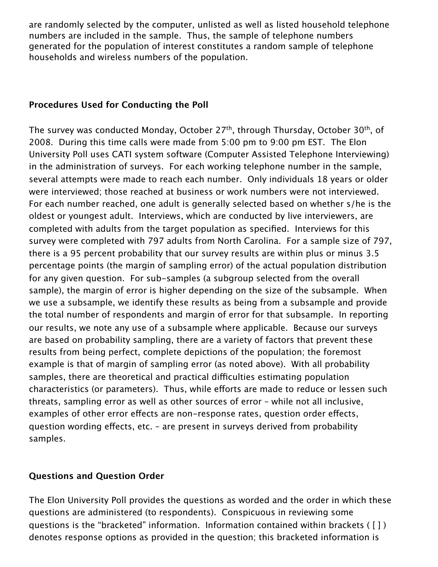are randomly selected by the computer, unlisted as well as listed household telephone numbers are included in the sample. Thus, the sample of telephone numbers generated for the population of interest constitutes a random sample of telephone households and wireless numbers of the population.

#### **Procedures Used for Conducting the Poll**

The survey was conducted Monday, October 27<sup>th</sup>, through Thursday, October 30<sup>th</sup>, of 2008. During this time calls were made from 5:00 pm to 9:00 pm EST. The Elon University Poll uses CATI system software (Computer Assisted Telephone Interviewing) in the administration of surveys. For each working telephone number in the sample, several attempts were made to reach each number. Only individuals 18 years or older were interviewed; those reached at business or work numbers were not interviewed. For each number reached, one adult is generally selected based on whether s/he is the oldest or youngest adult. Interviews, which are conducted by live interviewers, are completed with adults from the target population as specified. Interviews for this survey were completed with 797 adults from North Carolina. For a sample size of 797, there is a 95 percent probability that our survey results are within plus or minus 3.5 percentage points (the margin of sampling error) of the actual population distribution for any given question. For sub-samples (a subgroup selected from the overall sample), the margin of error is higher depending on the size of the subsample. When we use a subsample, we identify these results as being from a subsample and provide the total number of respondents and margin of error for that subsample. In reporting our results, we note any use of a subsample where applicable. Because our surveys are based on probability sampling, there are a variety of factors that prevent these results from being perfect, complete depictions of the population; the foremost example is that of margin of sampling error (as noted above). With all probability samples, there are theoretical and practical difficulties estimating population characteristics (or parameters). Thus, while efforts are made to reduce or lessen such threats, sampling error as well as other sources of error – while not all inclusive, examples of other error effects are non-response rates, question order effects, question wording effects, etc. - are present in surveys derived from probability samples.

## **Questions and Question Order**

The Elon University Poll provides the questions as worded and the order in which these questions are administered (to respondents). Conspicuous in reviewing some questions is the "bracketed" information. Information contained within brackets ( [ ] ) denotes response options as provided in the question; this bracketed information is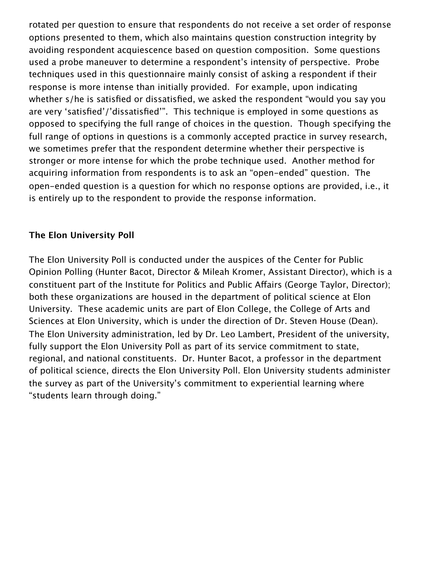rotated per question to ensure that respondents do not receive a set order of response options presented to them, which also maintains question construction integrity by avoiding respondent acquiescence based on question composition. Some questions used a probe maneuver to determine a respondent's intensity of perspective. Probe techniques used in this questionnaire mainly consist of asking a respondent if their response is more intense than initially provided. For example, upon indicating whether s/he is satisfied or dissatisfied, we asked the respondent "would you say you are very 'satisfied'/'dissatisfied'". This technique is employed in some questions as opposed to specifying the full range of choices in the question. Though specifying the full range of options in questions is a commonly accepted practice in survey research, we sometimes prefer that the respondent determine whether their perspective is stronger or more intense for which the probe technique used. Another method for acquiring information from respondents is to ask an "open-ended" question. The open-ended question is a question for which no response options are provided, i.e., it is entirely up to the respondent to provide the response information.

#### **The Elon University Poll**

The Elon University Poll is conducted under the auspices of the Center for Public Opinion Polling (Hunter Bacot, Director & Mileah Kromer, Assistant Director), which is a constituent part of the Institute for Politics and Public Affairs (George Taylor, Director); both these organizations are housed in the department of political science at Elon University. These academic units are part of Elon College, the College of Arts and Sciences at Elon University, which is under the direction of Dr. Steven House (Dean). The Elon University administration, led by Dr. Leo Lambert, President of the university, fully support the Elon University Poll as part of its service commitment to state, regional, and national constituents. Dr. Hunter Bacot, a professor in the department of political science, directs the Elon University Poll. Elon University students administer the survey as part of the University's commitment to experiential learning where "students learn through doing."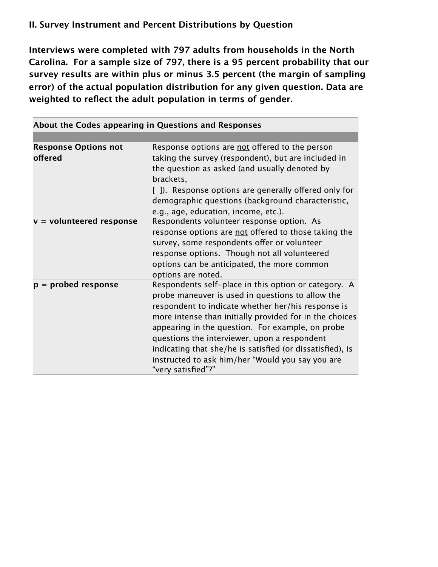# **II. Survey Instrument and Percent Distributions by Question**

**Interviews were completed with 797 adults from households in the North Carolina. For a sample size of 797, there is a 95 percent probability that our survey results are within plus or minus 3.5 percent (the margin of sampling error) of the actual population distribution for any given question. Data are weighted to reflect the adult population in terms of gender.** 

| About the Codes appearing in Questions and Responses |                                                                                                 |  |
|------------------------------------------------------|-------------------------------------------------------------------------------------------------|--|
|                                                      |                                                                                                 |  |
| <b>Response Options not</b>                          | Response options are not offered to the person                                                  |  |
| offered                                              | taking the survey (respondent), but are included in                                             |  |
|                                                      | the question as asked (and usually denoted by                                                   |  |
|                                                      | brackets,                                                                                       |  |
|                                                      | $\left[ \begin{array}{c} \end{array} \right]$ . Response options are generally offered only for |  |
|                                                      | demographic questions (background characteristic,                                               |  |
|                                                      | e.g., age, education, income, etc.).                                                            |  |
| $v =$ volunteered response                           | Respondents volunteer response option. As                                                       |  |
|                                                      | response options are not offered to those taking the                                            |  |
|                                                      | survey, some respondents offer or volunteer                                                     |  |
|                                                      | response options. Though not all volunteered                                                    |  |
|                                                      | options can be anticipated, the more common                                                     |  |
|                                                      | options are noted.                                                                              |  |
| $ p =$ probed response                               | Respondents self-place in this option or category. A                                            |  |
|                                                      | probe maneuver is used in questions to allow the                                                |  |
|                                                      | respondent to indicate whether her/his response is                                              |  |
|                                                      | more intense than initially provided for in the choices                                         |  |
|                                                      | appearing in the question. For example, on probe                                                |  |
|                                                      | questions the interviewer, upon a respondent                                                    |  |
|                                                      | indicating that she/he is satisfied (or dissatisfied), is                                       |  |
|                                                      | instructed to ask him/her "Would you say you are                                                |  |
|                                                      | "very satisfied"?"                                                                              |  |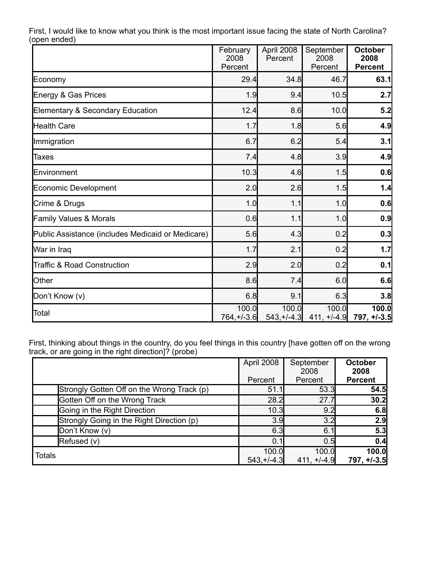|                                                   | February<br>2008<br>Percent | April 2008<br>Percent  | September<br>2008<br>Percent | <b>October</b><br>2008<br><b>Percent</b> |
|---------------------------------------------------|-----------------------------|------------------------|------------------------------|------------------------------------------|
| Economy                                           | 29.4                        | 34.8                   | 46.7                         | 63.1                                     |
| Energy & Gas Prices                               | 1.9                         | 9.4                    | 10.5                         | 2.7                                      |
| Elementary & Secondary Education                  | 12.4                        | 8.6                    | 10.0                         | 5.2                                      |
| <b>Health Care</b>                                | 1.7                         | 1.8                    | 5.6                          | 4.9                                      |
| Immigration                                       | 6.7                         | 6.2                    | 5.4                          | 3.1                                      |
| <b>Taxes</b>                                      | 7.4                         | 4.8                    | 3.9                          | 4.9                                      |
| Environment                                       | 10.3                        | 4.6                    | 1.5                          | 0.6                                      |
| Economic Development                              | 2.0                         | 2.6                    | 1.5                          | 1.4                                      |
| Crime & Drugs                                     | 1.0                         | 1.1                    | 1.0                          | 0.6                                      |
| <b>Family Values &amp; Morals</b>                 | 0.6                         | 1.1                    | 1.0                          | 0.9                                      |
| Public Assistance (includes Medicaid or Medicare) | 5.6                         | 4.3                    | 0.2                          | 0.3                                      |
| War in Iraq                                       | 1.7                         | 2.1                    | 0.2                          | 1.7                                      |
| <b>Traffic &amp; Road Construction</b>            | 2.9                         | 2.0                    | 0.2                          | 0.1                                      |
| Other                                             | 8.6                         | 7.4                    | 6.0                          | 6.6                                      |
| Don't Know (v)                                    | 6.8                         | 9.1                    | 6.3                          | 3.8                                      |
| Total                                             | 100.0<br>$764, +/-3.6$      | 100.0<br>$543, +/-4.3$ | 100.0<br>$411, +1.4.9$       | 100.0<br>$797, +1.3.5$                   |

First, I would like to know what you think is the most important issue facing the state of North Carolina? (open ended)

First, thinking about things in the country, do you feel things in this country [have gotten off on the wrong track, or are going in the right direction]? (probe)

|                                            | April 2008<br>Percent | September<br>2008<br>Percent | <b>October</b><br>2008<br><b>Percent</b> |
|--------------------------------------------|-----------------------|------------------------------|------------------------------------------|
| Strongly Gotten Off on the Wrong Track (p) | 51.7                  | 53.3                         | 54.5                                     |
| Gotten Off on the Wrong Track              | 28.2                  | 27.7                         | 30.2                                     |
| Going in the Right Direction               | 10.3                  | 9.2                          | 6.8                                      |
| Strongly Going in the Right Direction (p)  | 3.9                   | 3.2                          | 2.9                                      |
| Don't Know (v)                             | 6.3                   | 6.1                          | 5.3                                      |
| Refused (v)                                | 0.1                   | 0.5                          | 0.4                                      |
| <b>Totals</b>                              | 100.0<br>$543.+/-4.3$ | 100.0<br>$411, +/-4.9$       | 100.0<br>797, +/-3.5                     |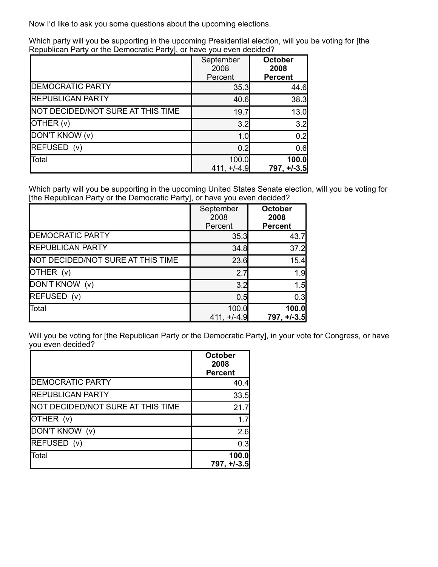Now I'd like to ask you some questions about the upcoming elections.

Which party will you be supporting in the upcoming Presidential election, will you be voting for [the Republican Party or the Democratic Party], or have you even decided?

|                                   | September<br>2008<br>Percent | <b>October</b><br>2008<br><b>Percent</b> |
|-----------------------------------|------------------------------|------------------------------------------|
| <b>DEMOCRATIC PARTY</b>           | 35.3                         | 44.6                                     |
| <b>REPUBLICAN PARTY</b>           | 40.6                         | 38.3                                     |
| NOT DECIDED/NOT SURE AT THIS TIME | 19.7                         | 13.0                                     |
| OTHER (v)                         | 3.2                          | 3.2                                      |
| DON'T KNOW (v)                    | 1.0                          | 0.2                                      |
| REFUSED (v)                       | 0.2                          | 0.6                                      |
| Total                             | 100.0                        | 100.0                                    |
|                                   | $411, +/-4.9$                | $797, +1.3.5$                            |

Which party will you be supporting in the upcoming United States Senate election, will you be voting for [the Republican Party or the Democratic Party], or have you even decided?

|                                   | September<br>2008<br>Percent | <b>October</b><br>2008<br><b>Percent</b> |
|-----------------------------------|------------------------------|------------------------------------------|
| <b>DEMOCRATIC PARTY</b>           | 35.3                         | 43.7                                     |
| <b>REPUBLICAN PARTY</b>           | 34.8                         | 37.2                                     |
| NOT DECIDED/NOT SURE AT THIS TIME | 23.6                         | 15.4                                     |
| OTHER (v)                         | 2.7                          | 1.9                                      |
| DON'T KNOW (v)                    | 3.2                          | 1.5                                      |
| REFUSED (v)                       | 0.5                          | 0.3                                      |
| Total                             | 100.0<br>$411, +/-4.9$       | <b>100.0</b><br>$797, +1-3.5$            |

Will you be voting for [the Republican Party or the Democratic Party], in your vote for Congress, or have you even decided?

|                                   | October<br>2008<br><b>Percent</b> |
|-----------------------------------|-----------------------------------|
| <b>DEMOCRATIC PARTY</b>           | 40.4                              |
| <b>REPUBLICAN PARTY</b>           | 33.5                              |
| NOT DECIDED/NOT SURE AT THIS TIME | 21.7                              |
| OTHER (v)                         | 17                                |
| DON'T KNOW (v)                    | 2.6                               |
| REFUSED (v)                       | 0.3                               |
| Total                             | 100.0                             |
|                                   | $797, +1.3.5$                     |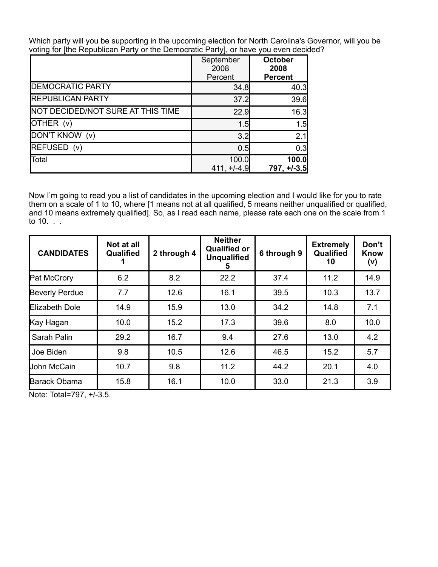Which party will you be supporting in the upcoming election for North Carolina's Governor, will you be voting for [the Republican Party or the Democratic Party], or have you even decided?

|                                   | September<br>2008<br>Percent | <b>October</b><br>2008<br><b>Percent</b> |
|-----------------------------------|------------------------------|------------------------------------------|
| <b>DEMOCRATIC PARTY</b>           | 34.8                         | 40.3                                     |
| <b>REPUBLICAN PARTY</b>           | 37.2                         | 39.6                                     |
| NOT DECIDED/NOT SURE AT THIS TIME | 22.9                         | 16.3                                     |
| OTHER (v)                         | 1.5                          | 1.5                                      |
| DON'T KNOW (v)                    | 3.2                          | 2.1                                      |
| REFUSED (v)                       | 0.5                          | 0.3                                      |
| Total                             | 100.0<br>$411, +/-4.9$       | 100.0<br>$797, +1-3.5$                   |

Now I'm going to read you a list of candidates in the upcoming election and I would like for you to rate them on a scale of 1 to 10, where [1 means not at all qualified, 5 means neither unqualified or qualified, and 10 means extremely qualified]. So, as I read each name, please rate each one on the scale from 1 to 10. . .

| <b>CANDIDATES</b>     | Not at all<br>Qualified | 2 through 4 | <b>Neither</b><br><b>Qualified or</b><br><b>Unqualified</b><br>5 | 6 through 9 | <b>Extremely</b><br>Qualified<br>10 | Don't<br><b>Know</b><br>(v) |
|-----------------------|-------------------------|-------------|------------------------------------------------------------------|-------------|-------------------------------------|-----------------------------|
| Pat McCrory           | 6.2                     | 8.2         | 22.2                                                             | 37.4        | 11.2                                | 14.9                        |
| <b>Beverly Perdue</b> | 7.7                     | 12.6        | 16.1                                                             | 39.5        | 10.3                                | 13.7                        |
| Elizabeth Dole        | 14.9                    | 15.9        | 13.0                                                             | 34.2        | 14.8                                | 7.1                         |
| Kay Hagan             | 10.0                    | 15.2        | 17.3                                                             | 39.6        | 8.0                                 | 10.0                        |
| Sarah Palin           | 29.2                    | 16.7        | 9.4                                                              | 27.6        | 13.0                                | 4.2                         |
| Joe Biden             | 9.8                     | 10.5        | 12.6                                                             | 46.5        | 15.2                                | 5.7                         |
| John McCain           | 10.7                    | 9.8         | 11.2                                                             | 44.2        | 20.1                                | 4.0                         |
| Barack Obama          | 15.8                    | 16.1        | 10.0                                                             | 33.0        | 21.3                                | 3.9                         |

Note: Total=797, +/-3.5.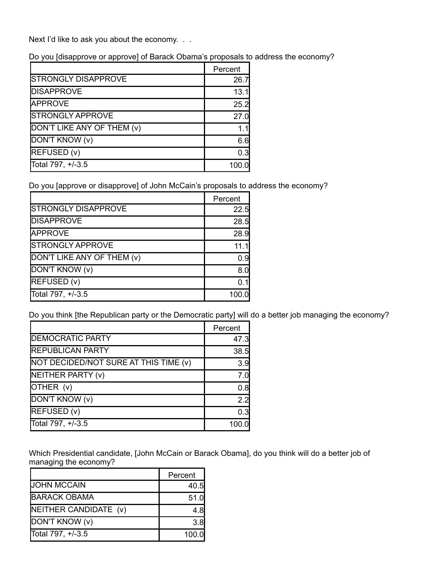Next I'd like to ask you about the economy. . .

Do you [disapprove or approve] of Barack Obama's proposals to address the economy?

|                            | Percent |
|----------------------------|---------|
| <b>STRONGLY DISAPPROVE</b> | 26.7    |
| <b>DISAPPROVE</b>          | 13.1    |
| <b>APPROVE</b>             | 25.2    |
| <b>STRONGLY APPROVE</b>    | 27.0    |
| DON'T LIKE ANY OF THEM (v) |         |
| DON'T KNOW (v)             | 6.6     |
| REFUSED (v)                | 0.3     |
| Total 797, +/-3.5          | 100.0   |

Do you [approve or disapprove] of John McCain's proposals to address the economy?

|                            | Percent |
|----------------------------|---------|
| <b>STRONGLY DISAPPROVE</b> | 22.5    |
| <b>DISAPPROVE</b>          | 28.5    |
| <b>APPROVE</b>             | 28.9    |
| <b>STRONGLY APPROVE</b>    | 11.1    |
| DON'T LIKE ANY OF THEM (v) | 0.9     |
| DON'T KNOW (v)             | 8.0     |
| REFUSED (v)                | 0.1     |
| Total 797, +/-3.5          | 100.0   |

Do you think [the Republican party or the Democratic party] will do a better job managing the economy?

|                                       | Percent |
|---------------------------------------|---------|
| <b>DEMOCRATIC PARTY</b>               | 47.3    |
| <b>REPUBLICAN PARTY</b>               | 38.5    |
| NOT DECIDED/NOT SURE AT THIS TIME (v) | 3.9     |
| NEITHER PARTY (v)                     | 7.0     |
| OTHER (v)                             | 0.8     |
| DON'T KNOW (v)                        | 2.2     |
| REFUSED (v)                           | 0.3     |
| Total 797, +/-3.5                     | 100.0   |

Which Presidential candidate, [John McCain or Barack Obama], do you think will do a better job of managing the economy?

|                       | Percent |
|-----------------------|---------|
| <b>JOHN MCCAIN</b>    | 40.5    |
| <b>BARACK OBAMA</b>   | 51.0    |
| NEITHER CANDIDATE (v) | 4.8     |
| DON'T KNOW (v)        | 3.8     |
| Total 797, +/-3.5     | 100.0   |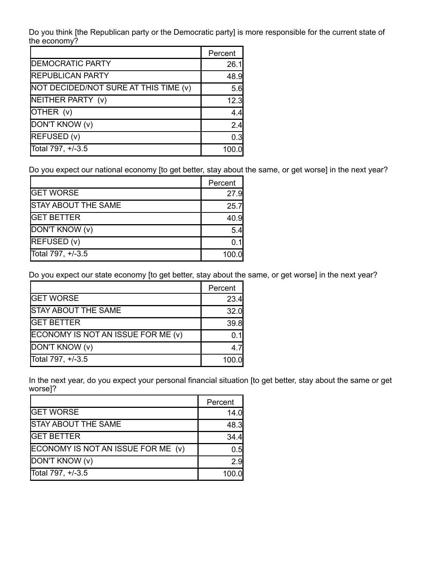Do you think [the Republican party or the Democratic party] is more responsible for the current state of the economy?

|                                       | Percent |
|---------------------------------------|---------|
| <b>DEMOCRATIC PARTY</b>               | 26.1    |
| <b>REPUBLICAN PARTY</b>               | 48.9    |
| NOT DECIDED/NOT SURE AT THIS TIME (v) | 5.6     |
| NEITHER PARTY (v)                     | 12.3    |
| OTHER (v)                             | 4.4     |
| DON'T KNOW (v)                        | 2.4     |
| REFUSED (v)                           | 0.3     |
| Total 797, +/-3.5                     | 100     |

Do you expect our national economy [to get better, stay about the same, or get worse] in the next year?

|                            | Percent |
|----------------------------|---------|
| <b>GET WORSE</b>           | 27.9    |
| <b>STAY ABOUT THE SAME</b> | 25.7    |
| <b>GET BETTER</b>          | 40.9    |
| DON'T KNOW (v)             | 5.4     |
| REFUSED (v)                | ุ 11    |
| Total 797, +/-3.5          | 100.0   |

Do you expect our state economy [to get better, stay about the same, or get worse] in the next year?

|                                    | Percent |
|------------------------------------|---------|
| <b>GET WORSE</b>                   | 23.4    |
| <b>STAY ABOUT THE SAME</b>         | 32.0    |
| <b>GET BETTER</b>                  | 39.8    |
| ECONOMY IS NOT AN ISSUE FOR ME (v) | 0 1l    |
| DON'T KNOW (v)                     | 47      |
| Total 797, +/-3.5                  | 100.0   |

In the next year, do you expect your personal financial situation [to get better, stay about the same or get worse]?

|                                    | Percent |
|------------------------------------|---------|
| <b>GET WORSE</b>                   | 14.0    |
| <b>STAY ABOUT THE SAME</b>         | 48.3    |
| <b>GET BETTER</b>                  | 34.4    |
| ECONOMY IS NOT AN ISSUE FOR ME (v) | 0.5     |
| DON'T KNOW (v)                     | 2.9     |
| Total 797, +/-3.5                  | 100.0   |